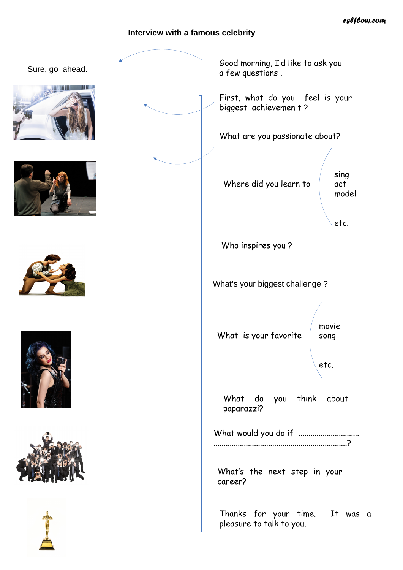## **Interview with a famous celebrity**